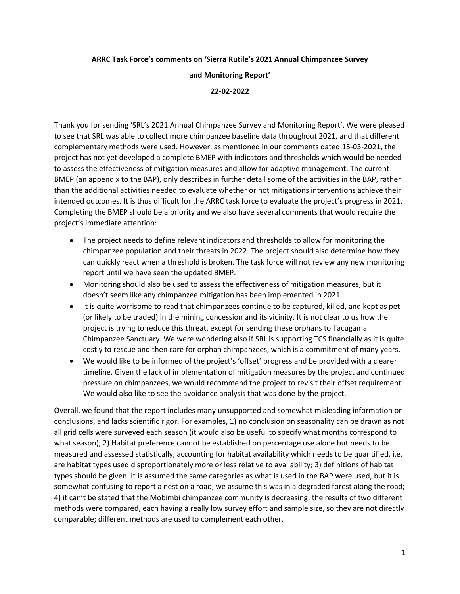## **ARRC Task Force's comments on 'Sierra Rutile's 2021 Annual Chimpanzee Survey**

## **and Monitoring Report'**

## **22-02-2022**

Thank you for sending 'SRL's 2021 Annual Chimpanzee Survey and Monitoring Report'. We were pleased to see that SRL was able to collect more chimpanzee baseline data throughout 2021, and that different complementary methods were used. However, as mentioned in our comments dated 15-03-2021, the project has not yet developed a complete BMEP with indicators and thresholds which would be needed to assess the effectiveness of mitigation measures and allow for adaptive management. The current BMEP (an appendix to the BAP), only describes in further detail some of the activities in the BAP, rather than the additional activities needed to evaluate whether or not mitigations interventions achieve their intended outcomes. It is thus difficult for the ARRC task force to evaluate the project's progress in 2021. Completing the BMEP should be a priority and we also have several comments that would require the project's immediate attention:

- The project needs to define relevant indicators and thresholds to allow for monitoring the chimpanzee population and their threats in 2022. The project should also determine how they can quickly react when a threshold is broken. The task force will not review any new monitoring report until we have seen the updated BMEP.
- Monitoring should also be used to assess the effectiveness of mitigation measures, but it doesn't seem like any chimpanzee mitigation has been implemented in 2021.
- It is quite worrisome to read that chimpanzees continue to be captured, killed, and kept as pet (or likely to be traded) in the mining concession and its vicinity. It is not clear to us how the project is trying to reduce this threat, except for sending these orphans to Tacugama Chimpanzee Sanctuary. We were wondering also if SRL is supporting TCS financially as it is quite costly to rescue and then care for orphan chimpanzees, which is a commitment of many years.
- We would like to be informed of the project's 'offset' progress and be provided with a clearer timeline. Given the lack of implementation of mitigation measures by the project and continued pressure on chimpanzees, we would recommend the project to revisit their offset requirement. We would also like to see the avoidance analysis that was done by the project.

Overall, we found that the report includes many unsupported and somewhat misleading information or conclusions, and lacks scientific rigor. For examples, 1) no conclusion on seasonality can be drawn as not all grid cells were surveyed each season (it would also be useful to specify what months correspond to what season); 2) Habitat preference cannot be established on percentage use alone but needs to be measured and assessed statistically, accounting for habitat availability which needs to be quantified, i.e. are habitat types used disproportionately more or less relative to availability; 3) definitions of habitat types should be given. It is assumed the same categories as what is used in the BAP were used, but it is somewhat confusing to report a nest on a road, we assume this was in a degraded forest along the road; 4) it can't be stated that the Mobimbi chimpanzee community is decreasing; the results of two different methods were compared, each having a really low survey effort and sample size, so they are not directly comparable; different methods are used to complement each other.